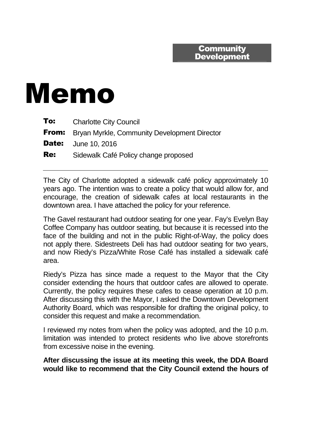## **Community Development**

## Memo

| To:        | <b>Charlotte City Council</b>                             |
|------------|-----------------------------------------------------------|
|            | <b>From:</b> Bryan Myrkle, Community Development Director |
|            | <b>Date:</b> June 10, 2016                                |
| <b>Re:</b> | Sidewalk Café Policy change proposed                      |

The City of Charlotte adopted a sidewalk café policy approximately 10 years ago. The intention was to create a policy that would allow for, and encourage, the creation of sidewalk cafes at local restaurants in the downtown area. I have attached the policy for your reference.

The Gavel restaurant had outdoor seating for one year. Fay's Evelyn Bay Coffee Company has outdoor seating, but because it is recessed into the face of the building and not in the public Right-of-Way, the policy does not apply there. Sidestreets Deli has had outdoor seating for two years, and now Riedy's Pizza/White Rose Café has installed a sidewalk café area.

Riedy's Pizza has since made a request to the Mayor that the City consider extending the hours that outdoor cafes are allowed to operate. Currently, the policy requires these cafes to cease operation at 10 p.m. After discussing this with the Mayor, I asked the Downtown Development Authority Board, which was responsible for drafting the original policy, to consider this request and make a recommendation.

I reviewed my notes from when the policy was adopted, and the 10 p.m. limitation was intended to protect residents who live above storefronts from excessive noise in the evening.

**After discussing the issue at its meeting this week, the DDA Board would like to recommend that the City Council extend the hours of**